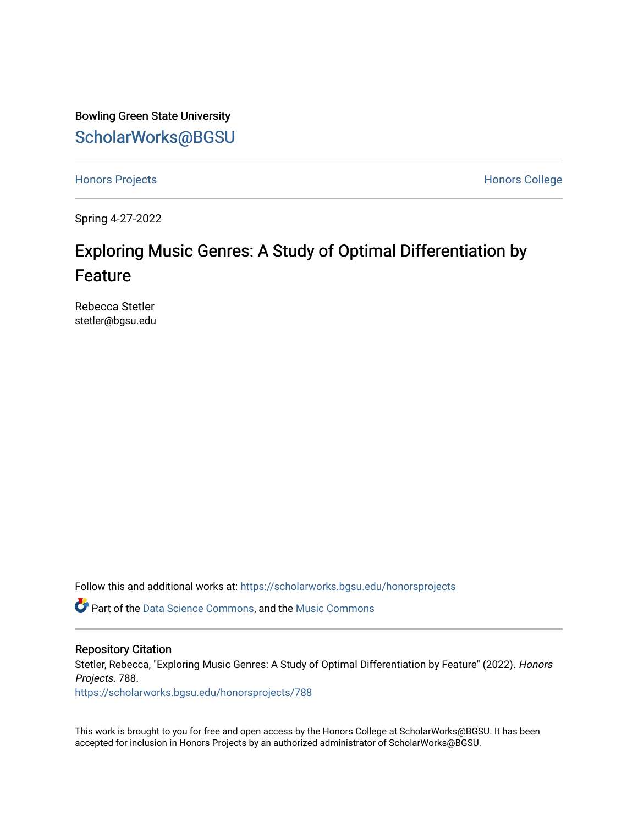Bowling Green State University [ScholarWorks@BGSU](https://scholarworks.bgsu.edu/) 

[Honors Projects](https://scholarworks.bgsu.edu/honorsprojects) **Honors** College

Spring 4-27-2022

# Exploring Music Genres: A Study of Optimal Differentiation by Feature

Rebecca Stetler stetler@bgsu.edu

Follow this and additional works at: [https://scholarworks.bgsu.edu/honorsprojects](https://scholarworks.bgsu.edu/honorsprojects?utm_source=scholarworks.bgsu.edu%2Fhonorsprojects%2F788&utm_medium=PDF&utm_campaign=PDFCoverPages) 

Part of the [Data Science Commons,](http://network.bepress.com/hgg/discipline/1429?utm_source=scholarworks.bgsu.edu%2Fhonorsprojects%2F788&utm_medium=PDF&utm_campaign=PDFCoverPages) and the [Music Commons](http://network.bepress.com/hgg/discipline/518?utm_source=scholarworks.bgsu.edu%2Fhonorsprojects%2F788&utm_medium=PDF&utm_campaign=PDFCoverPages) 

#### Repository Citation

Stetler, Rebecca, "Exploring Music Genres: A Study of Optimal Differentiation by Feature" (2022). Honors Projects. 788.

[https://scholarworks.bgsu.edu/honorsprojects/788](https://scholarworks.bgsu.edu/honorsprojects/788?utm_source=scholarworks.bgsu.edu%2Fhonorsprojects%2F788&utm_medium=PDF&utm_campaign=PDFCoverPages) 

This work is brought to you for free and open access by the Honors College at ScholarWorks@BGSU. It has been accepted for inclusion in Honors Projects by an authorized administrator of ScholarWorks@BGSU.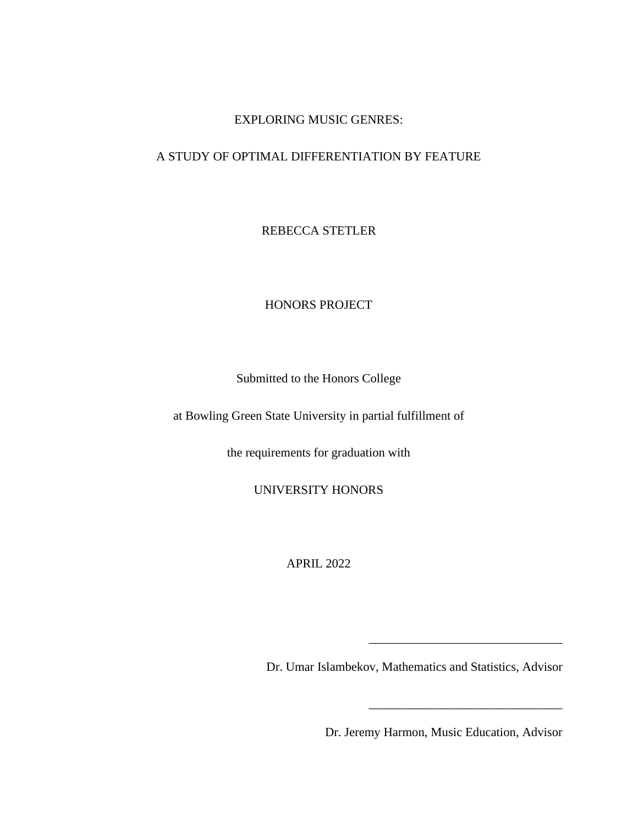## EXPLORING MUSIC GENRES:

# A STUDY OF OPTIMAL DIFFERENTIATION BY FEATURE

REBECCA STETLER

HONORS PROJECT

Submitted to the Honors College

at Bowling Green State University in partial fulfillment of

the requirements for graduation with

UNIVERSITY HONORS

APRIL 2022

Dr. Umar Islambekov, Mathematics and Statistics, Advisor

Dr. Jeremy Harmon, Music Education, Advisor

\_\_\_\_\_\_\_\_\_\_\_\_\_\_\_\_\_\_\_\_\_\_\_\_\_\_\_\_\_\_\_

\_\_\_\_\_\_\_\_\_\_\_\_\_\_\_\_\_\_\_\_\_\_\_\_\_\_\_\_\_\_\_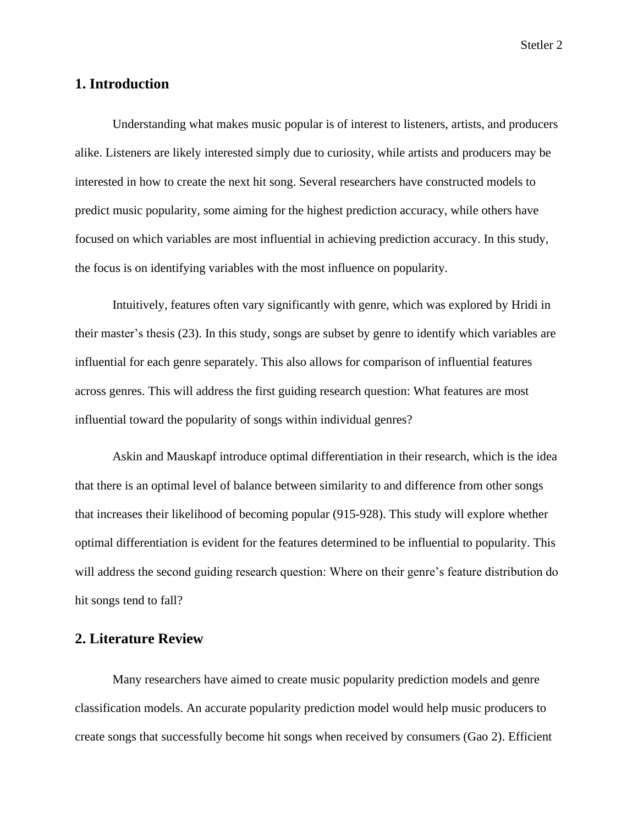# **1. Introduction**

Understanding what makes music popular is of interest to listeners, artists, and producers alike. Listeners are likely interested simply due to curiosity, while artists and producers may be interested in how to create the next hit song. Several researchers have constructed models to predict music popularity, some aiming for the highest prediction accuracy, while others have focused on which variables are most influential in achieving prediction accuracy. In this study, the focus is on identifying variables with the most influence on popularity.

Intuitively, features often vary significantly with genre, which was explored by Hridi in their master's thesis (23). In this study, songs are subset by genre to identify which variables are influential for each genre separately. This also allows for comparison of influential features across genres. This will address the first guiding research question: What features are most influential toward the popularity of songs within individual genres?

Askin and Mauskapf introduce optimal differentiation in their research, which is the idea that there is an optimal level of balance between similarity to and difference from other songs that increases their likelihood of becoming popular (915-928). This study will explore whether optimal differentiation is evident for the features determined to be influential to popularity. This will address the second guiding research question: Where on their genre's feature distribution do hit songs tend to fall?

# **2. Literature Review**

Many researchers have aimed to create music popularity prediction models and genre classification models. An accurate popularity prediction model would help music producers to create songs that successfully become hit songs when received by consumers (Gao 2). Efficient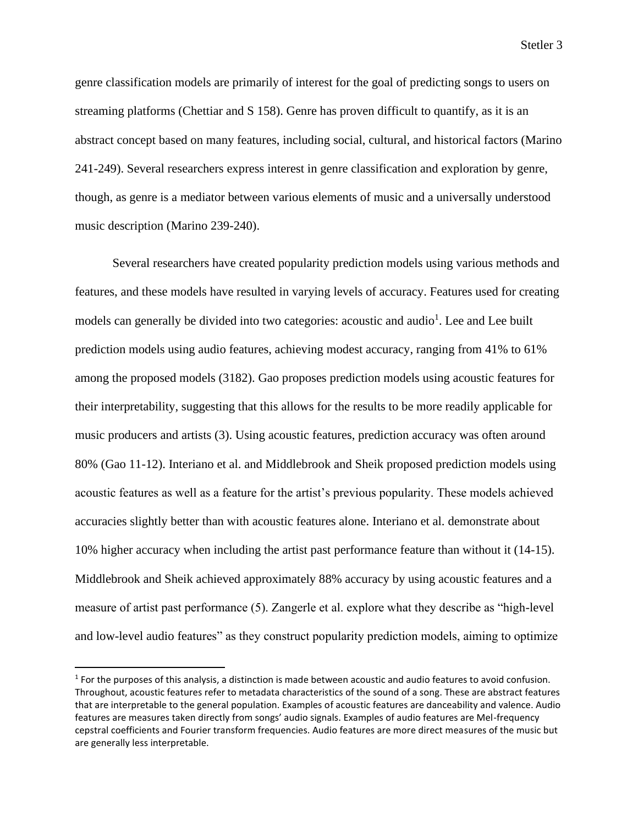genre classification models are primarily of interest for the goal of predicting songs to users on streaming platforms (Chettiar and S 158). Genre has proven difficult to quantify, as it is an abstract concept based on many features, including social, cultural, and historical factors (Marino 241-249). Several researchers express interest in genre classification and exploration by genre, though, as genre is a mediator between various elements of music and a universally understood music description (Marino 239-240).

Several researchers have created popularity prediction models using various methods and features, and these models have resulted in varying levels of accuracy. Features used for creating models can generally be divided into two categories: acoustic and audio<sup>1</sup>. Lee and Lee built prediction models using audio features, achieving modest accuracy, ranging from 41% to 61% among the proposed models (3182). Gao proposes prediction models using acoustic features for their interpretability, suggesting that this allows for the results to be more readily applicable for music producers and artists (3). Using acoustic features, prediction accuracy was often around 80% (Gao 11-12). Interiano et al. and Middlebrook and Sheik proposed prediction models using acoustic features as well as a feature for the artist's previous popularity. These models achieved accuracies slightly better than with acoustic features alone. Interiano et al. demonstrate about 10% higher accuracy when including the artist past performance feature than without it (14-15). Middlebrook and Sheik achieved approximately 88% accuracy by using acoustic features and a measure of artist past performance (5). Zangerle et al. explore what they describe as "high-level and low-level audio features" as they construct popularity prediction models, aiming to optimize

<sup>1</sup> For the purposes of this analysis, a distinction is made between acoustic and audio features to avoid confusion. Throughout, acoustic features refer to metadata characteristics of the sound of a song. These are abstract features that are interpretable to the general population. Examples of acoustic features are danceability and valence. Audio features are measures taken directly from songs' audio signals. Examples of audio features are Mel-frequency cepstral coefficients and Fourier transform frequencies. Audio features are more direct measures of the music but are generally less interpretable.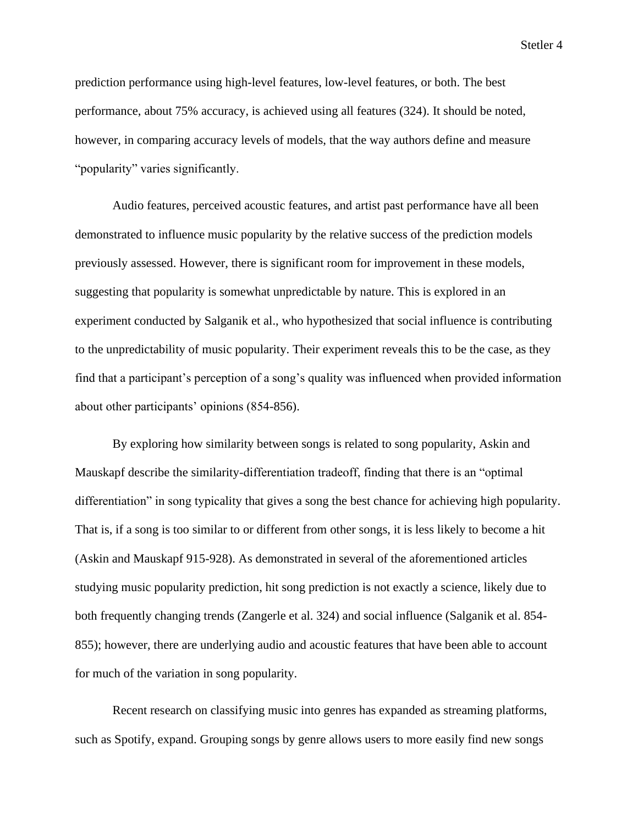prediction performance using high-level features, low-level features, or both. The best performance, about 75% accuracy, is achieved using all features (324). It should be noted, however, in comparing accuracy levels of models, that the way authors define and measure "popularity" varies significantly.

Audio features, perceived acoustic features, and artist past performance have all been demonstrated to influence music popularity by the relative success of the prediction models previously assessed. However, there is significant room for improvement in these models, suggesting that popularity is somewhat unpredictable by nature. This is explored in an experiment conducted by Salganik et al., who hypothesized that social influence is contributing to the unpredictability of music popularity. Their experiment reveals this to be the case, as they find that a participant's perception of a song's quality was influenced when provided information about other participants' opinions (854-856).

By exploring how similarity between songs is related to song popularity, Askin and Mauskapf describe the similarity-differentiation tradeoff, finding that there is an "optimal differentiation" in song typicality that gives a song the best chance for achieving high popularity. That is, if a song is too similar to or different from other songs, it is less likely to become a hit (Askin and Mauskapf 915-928). As demonstrated in several of the aforementioned articles studying music popularity prediction, hit song prediction is not exactly a science, likely due to both frequently changing trends (Zangerle et al. 324) and social influence (Salganik et al. 854- 855); however, there are underlying audio and acoustic features that have been able to account for much of the variation in song popularity.

Recent research on classifying music into genres has expanded as streaming platforms, such as Spotify, expand. Grouping songs by genre allows users to more easily find new songs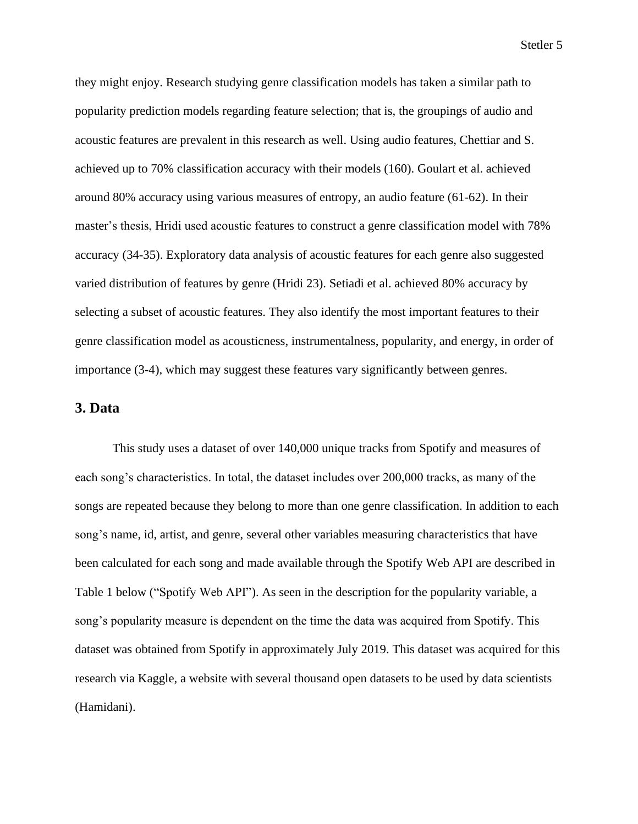they might enjoy. Research studying genre classification models has taken a similar path to popularity prediction models regarding feature selection; that is, the groupings of audio and acoustic features are prevalent in this research as well. Using audio features, Chettiar and S. achieved up to 70% classification accuracy with their models (160). Goulart et al. achieved around 80% accuracy using various measures of entropy, an audio feature (61-62). In their master's thesis, Hridi used acoustic features to construct a genre classification model with 78% accuracy (34-35). Exploratory data analysis of acoustic features for each genre also suggested varied distribution of features by genre (Hridi 23). Setiadi et al. achieved 80% accuracy by selecting a subset of acoustic features. They also identify the most important features to their genre classification model as acousticness, instrumentalness, popularity, and energy, in order of importance (3-4), which may suggest these features vary significantly between genres.

## **3. Data**

This study uses a dataset of over 140,000 unique tracks from Spotify and measures of each song's characteristics. In total, the dataset includes over 200,000 tracks, as many of the songs are repeated because they belong to more than one genre classification. In addition to each song's name, id, artist, and genre, several other variables measuring characteristics that have been calculated for each song and made available through the Spotify Web API are described in Table 1 below ("Spotify Web API"). As seen in the description for the popularity variable, a song's popularity measure is dependent on the time the data was acquired from Spotify. This dataset was obtained from Spotify in approximately July 2019. This dataset was acquired for this research via Kaggle, a website with several thousand open datasets to be used by data scientists (Hamidani).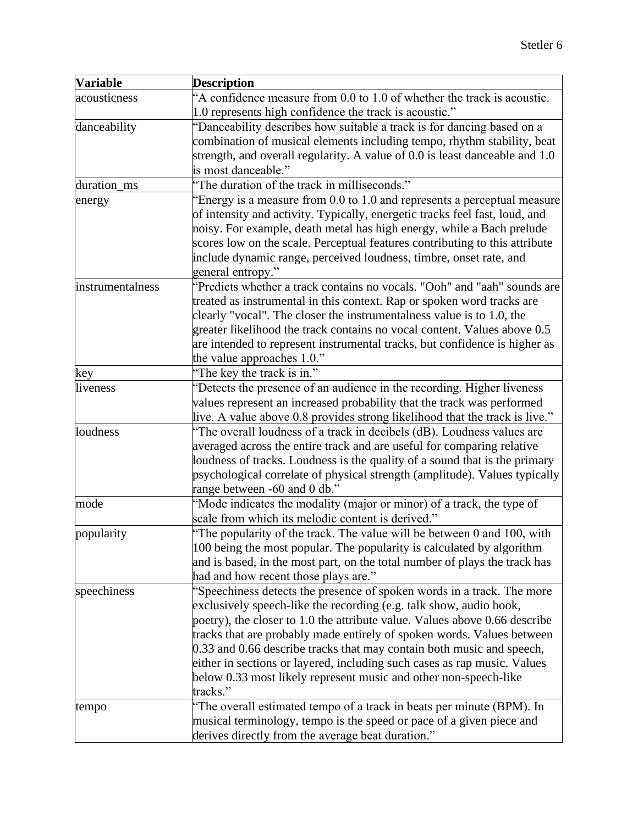| <b>Variable</b>  | <b>Description</b>                                                                                                                                  |
|------------------|-----------------------------------------------------------------------------------------------------------------------------------------------------|
| acousticness     | "A confidence measure from 0.0 to 1.0 of whether the track is acoustic.                                                                             |
|                  | 1.0 represents high confidence the track is acoustic."                                                                                              |
| danceability     | "Danceability describes how suitable a track is for dancing based on a                                                                              |
|                  | combination of musical elements including tempo, rhythm stability, beat                                                                             |
|                  | strength, and overall regularity. A value of 0.0 is least danceable and 1.0                                                                         |
|                  | is most danceable."                                                                                                                                 |
| duration_ms      | "The duration of the track in milliseconds."                                                                                                        |
| energy           | "Energy is a measure from 0.0 to 1.0 and represents a perceptual measure                                                                            |
|                  | of intensity and activity. Typically, energetic tracks feel fast, loud, and                                                                         |
|                  | noisy. For example, death metal has high energy, while a Bach prelude                                                                               |
|                  | scores low on the scale. Perceptual features contributing to this attribute                                                                         |
|                  | include dynamic range, perceived loudness, timbre, onset rate, and                                                                                  |
|                  | general entropy."                                                                                                                                   |
| instrumentalness | "Predicts whether a track contains no vocals. "Ooh" and "aah" sounds are                                                                            |
|                  | treated as instrumental in this context. Rap or spoken word tracks are                                                                              |
|                  | clearly "vocal". The closer the instrumentalness value is to 1.0, the                                                                               |
|                  | greater likelihood the track contains no vocal content. Values above 0.5                                                                            |
|                  | are intended to represent instrumental tracks, but confidence is higher as                                                                          |
|                  | the value approaches 1.0."                                                                                                                          |
| key              | "The key the track is in."                                                                                                                          |
| liveness         | "Detects the presence of an audience in the recording. Higher liveness                                                                              |
|                  | values represent an increased probability that the track was performed                                                                              |
|                  | live. A value above 0.8 provides strong likelihood that the track is live."                                                                         |
| loudness         | "The overall loudness of a track in decibels (dB). Loudness values are                                                                              |
|                  | averaged across the entire track and are useful for comparing relative                                                                              |
|                  | loudness of tracks. Loudness is the quality of a sound that is the primary                                                                          |
|                  | psychological correlate of physical strength (amplitude). Values typically                                                                          |
| mode             | range between -60 and 0 db."                                                                                                                        |
|                  | "Mode indicates the modality (major or minor) of a track, the type of<br>scale from which its melodic content is derived."                          |
|                  | "The popularity of the track. The value will be between 0 and 100, with                                                                             |
| popularity       |                                                                                                                                                     |
|                  | 100 being the most popular. The popularity is calculated by algorithm<br>and is based, in the most part, on the total number of plays the track has |
|                  | had and how recent those plays are."                                                                                                                |
| speechiness      | "Speechiness detects the presence of spoken words in a track. The more                                                                              |
|                  | exclusively speech-like the recording (e.g. talk show, audio book,                                                                                  |
|                  | poetry), the closer to 1.0 the attribute value. Values above 0.66 describe                                                                          |
|                  | tracks that are probably made entirely of spoken words. Values between                                                                              |
|                  | 0.33 and 0.66 describe tracks that may contain both music and speech,                                                                               |
|                  | either in sections or layered, including such cases as rap music. Values                                                                            |
|                  | below 0.33 most likely represent music and other non-speech-like                                                                                    |
|                  | tracks."                                                                                                                                            |
| tempo            | "The overall estimated tempo of a track in beats per minute (BPM). In                                                                               |
|                  |                                                                                                                                                     |
|                  |                                                                                                                                                     |
|                  | musical terminology, tempo is the speed or pace of a given piece and<br>derives directly from the average beat duration."                           |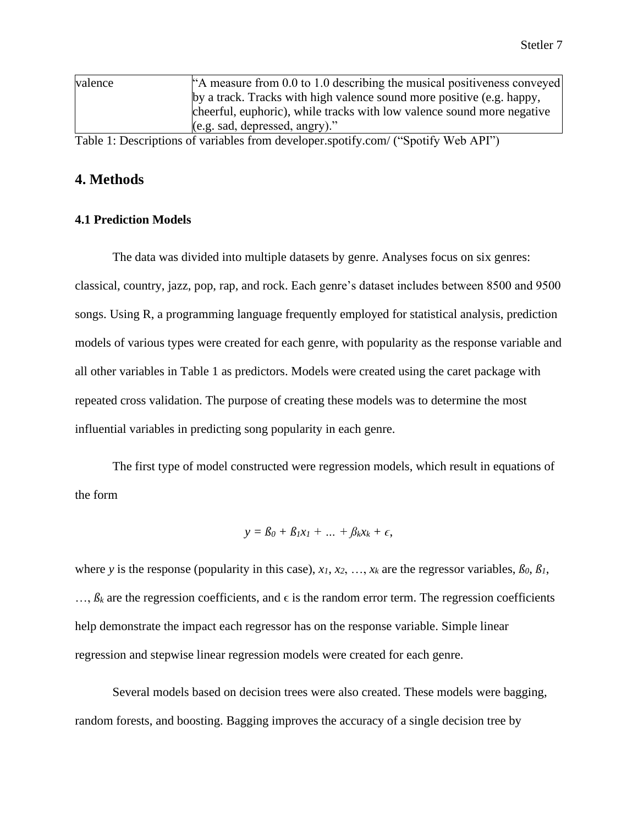| valence | "A measure from 0.0 to 1.0 describing the musical positiveness conveyed |
|---------|-------------------------------------------------------------------------|
|         | by a track. Tracks with high valence sound more positive (e.g. happy,   |
|         | cheerful, euphoric), while tracks with low valence sound more negative  |
|         | $(e.g. sad, depressed, angry)$ ."                                       |
|         |                                                                         |

Table 1: Descriptions of variables from developer.spotify.com/ ("Spotify Web API")

# **4. Methods**

### **4.1 Prediction Models**

The data was divided into multiple datasets by genre. Analyses focus on six genres: classical, country, jazz, pop, rap, and rock. Each genre's dataset includes between 8500 and 9500 songs. Using R, a programming language frequently employed for statistical analysis, prediction models of various types were created for each genre, with popularity as the response variable and all other variables in Table 1 as predictors. Models were created using the caret package with repeated cross validation. The purpose of creating these models was to determine the most influential variables in predicting song popularity in each genre.

The first type of model constructed were regression models, which result in equations of the form

$$
y = \beta_0 + \beta_1 x_1 + \dots + \beta_k x_k + \epsilon,
$$

where *y* is the response (popularity in this case),  $x_1, x_2, \ldots, x_k$  are the regressor variables,  $\beta_0, \beta_1$ ,  $..., \beta_k$  are the regression coefficients, and  $\epsilon$  is the random error term. The regression coefficients help demonstrate the impact each regressor has on the response variable. Simple linear regression and stepwise linear regression models were created for each genre.

Several models based on decision trees were also created. These models were bagging, random forests, and boosting. Bagging improves the accuracy of a single decision tree by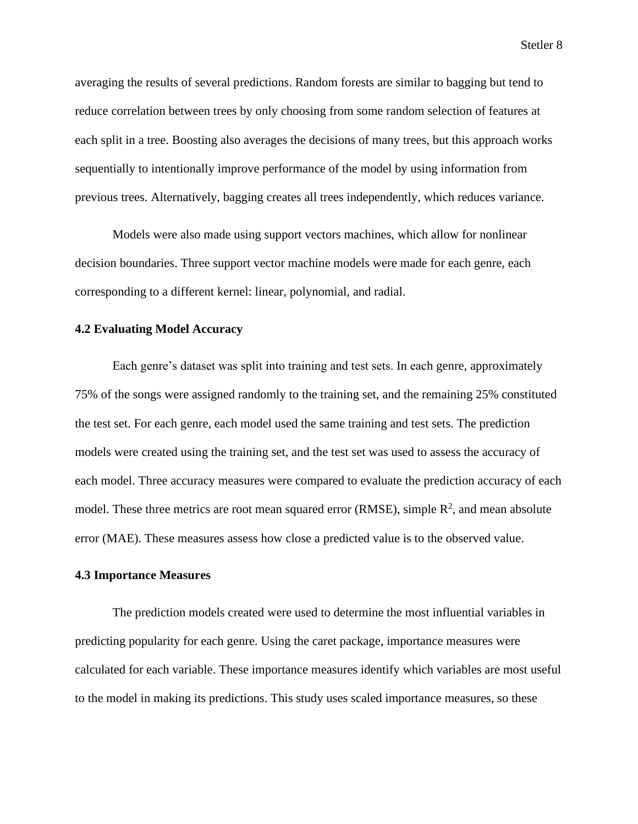averaging the results of several predictions. Random forests are similar to bagging but tend to reduce correlation between trees by only choosing from some random selection of features at each split in a tree. Boosting also averages the decisions of many trees, but this approach works sequentially to intentionally improve performance of the model by using information from previous trees. Alternatively, bagging creates all trees independently, which reduces variance.

Models were also made using support vectors machines, which allow for nonlinear decision boundaries. Three support vector machine models were made for each genre, each corresponding to a different kernel: linear, polynomial, and radial.

#### **4.2 Evaluating Model Accuracy**

Each genre's dataset was split into training and test sets. In each genre, approximately 75% of the songs were assigned randomly to the training set, and the remaining 25% constituted the test set. For each genre, each model used the same training and test sets. The prediction models were created using the training set, and the test set was used to assess the accuracy of each model. Three accuracy measures were compared to evaluate the prediction accuracy of each model. These three metrics are root mean squared error (RMSE), simple  $\mathbb{R}^2$ , and mean absolute error (MAE). These measures assess how close a predicted value is to the observed value.

#### **4.3 Importance Measures**

The prediction models created were used to determine the most influential variables in predicting popularity for each genre. Using the caret package, importance measures were calculated for each variable. These importance measures identify which variables are most useful to the model in making its predictions. This study uses scaled importance measures, so these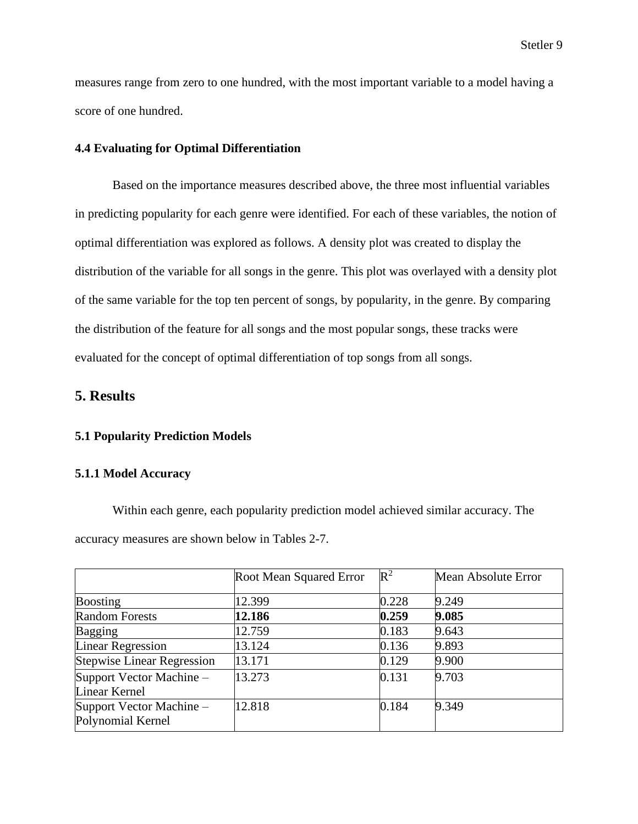measures range from zero to one hundred, with the most important variable to a model having a score of one hundred.

#### **4.4 Evaluating for Optimal Differentiation**

Based on the importance measures described above, the three most influential variables in predicting popularity for each genre were identified. For each of these variables, the notion of optimal differentiation was explored as follows. A density plot was created to display the distribution of the variable for all songs in the genre. This plot was overlayed with a density plot of the same variable for the top ten percent of songs, by popularity, in the genre. By comparing the distribution of the feature for all songs and the most popular songs, these tracks were evaluated for the concept of optimal differentiation of top songs from all songs.

# **5. Results**

#### **5.1 Popularity Prediction Models**

#### **5.1.1 Model Accuracy**

Within each genre, each popularity prediction model achieved similar accuracy. The accuracy measures are shown below in Tables 2-7.

|                                               | Root Mean Squared Error | $\mathbb{R}^2$ | Mean Absolute Error |
|-----------------------------------------------|-------------------------|----------------|---------------------|
| <b>Boosting</b>                               | 12.399                  | 0.228          | 9.249               |
| <b>Random Forests</b>                         | 12.186                  | 0.259          | 9.085               |
| <b>Bagging</b>                                | 12.759                  | 0.183          | 9.643               |
| <b>Linear Regression</b>                      | 13.124                  | 0.136          | 9.893               |
| <b>Stepwise Linear Regression</b>             | 13.171                  | 0.129          | 9.900               |
| Support Vector Machine -<br>Linear Kernel     | 13.273                  | 0.131          | 9.703               |
| Support Vector Machine -<br>Polynomial Kernel | 12.818                  | 0.184          | 9.349               |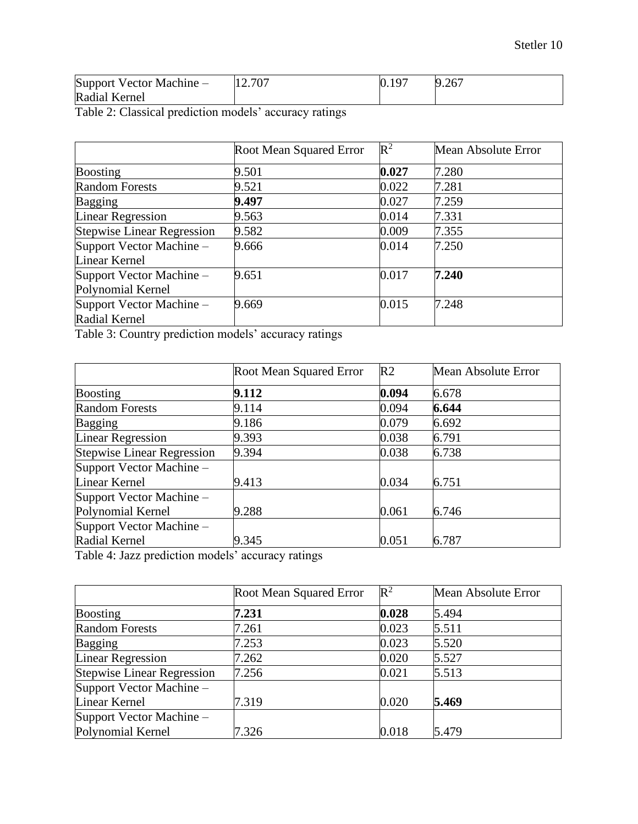| Support Vector Machine - | 12.707 | $10-$<br>0.19 | 9.267<br>O |
|--------------------------|--------|---------------|------------|
| Radial Kernel            |        |               |            |

Table 2: Classical prediction models' accuracy ratings

|                                               | Root Mean Squared Error | $\mathbb{R}^2$ | Mean Absolute Error |
|-----------------------------------------------|-------------------------|----------------|---------------------|
| <b>Boosting</b>                               | 9.501                   | 0.027          | 7.280               |
| <b>Random Forests</b>                         | 9.521                   | 0.022          | 7.281               |
| <b>Bagging</b>                                | 9.497                   | 0.027          | 7.259               |
| <b>Linear Regression</b>                      | 9.563                   | 0.014          | 7.331               |
| <b>Stepwise Linear Regression</b>             | 9.582                   | 0.009          | 7.355               |
| Support Vector Machine -<br>Linear Kernel     | 9.666                   | 0.014          | 7.250               |
| Support Vector Machine -<br>Polynomial Kernel | 9.651                   | 0.017          | 7.240               |
| Support Vector Machine -<br>Radial Kernel     | 9.669                   | 0.015          | 7.248               |

Table 3: Country prediction models' accuracy ratings

|                                   | Root Mean Squared Error | R <sub>2</sub> | Mean Absolute Error |
|-----------------------------------|-------------------------|----------------|---------------------|
| <b>Boosting</b>                   | 9.112                   | 0.094          | 6.678               |
| <b>Random Forests</b>             | 9.114                   | 0.094          | 6.644               |
| <b>Bagging</b>                    | 9.186                   | 0.079          | 6.692               |
| <b>Linear Regression</b>          | 9.393                   | 0.038          | 6.791               |
| <b>Stepwise Linear Regression</b> | 9.394                   | 0.038          | 6.738               |
| Support Vector Machine -          |                         |                |                     |
| Linear Kernel                     | 9.413                   | 0.034          | 6.751               |
| Support Vector Machine -          |                         |                |                     |
| Polynomial Kernel                 | 9.288                   | 0.061          | 6.746               |
| Support Vector Machine -          |                         |                |                     |
| Radial Kernel                     | 9.345                   | 0.051          | 6.787               |

Table 4: Jazz prediction models' accuracy ratings

|                                   | Root Mean Squared Error | $\mathbb{R}^2$ | Mean Absolute Error |
|-----------------------------------|-------------------------|----------------|---------------------|
| <b>Boosting</b>                   | 7.231                   | 0.028          | 5.494               |
| <b>Random Forests</b>             | 7.261                   | 0.023          | 5.511               |
| <b>Bagging</b>                    | 7.253                   | 0.023          | 5.520               |
| <b>Linear Regression</b>          | 7.262                   | 0.020          | 5.527               |
| <b>Stepwise Linear Regression</b> | 7.256                   | 0.021          | 5.513               |
| Support Vector Machine -          |                         |                |                     |
| Linear Kernel                     | 7.319                   | 0.020          | 5.469               |
| Support Vector Machine -          |                         |                |                     |
| Polynomial Kernel                 | 7.326                   | 0.018          | 5.479               |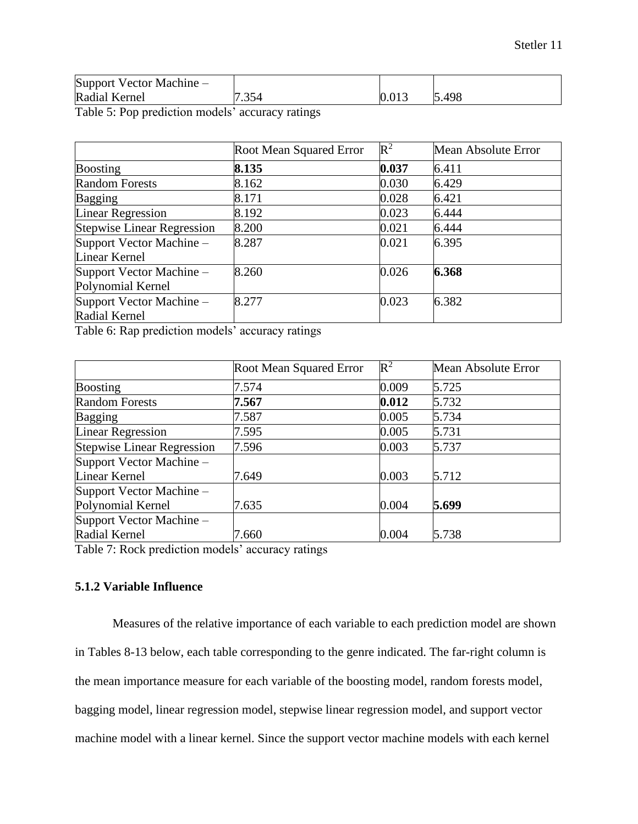| Support Vector Machine - |       |           |            |
|--------------------------|-------|-----------|------------|
| Radial Kernel            | 1.354 | $0.013\,$ | 5.498<br>E |

Table 5: Pop prediction models' accuracy ratings

|                                   | Root Mean Squared Error | $\mathbb{R}^2$ | Mean Absolute Error |
|-----------------------------------|-------------------------|----------------|---------------------|
| <b>Boosting</b>                   | 8.135                   | 0.037          | 6.411               |
| <b>Random Forests</b>             | 8.162                   | 0.030          | 6.429               |
| <b>Bagging</b>                    | 8.171                   | 0.028          | 6.421               |
| <b>Linear Regression</b>          | 8.192                   | 0.023          | 6.444               |
| <b>Stepwise Linear Regression</b> | 8.200                   | 0.021          | 6.444               |
| Support Vector Machine -          | 8.287                   | 0.021          | 6.395               |
| Linear Kernel                     |                         |                |                     |
| Support Vector Machine -          | 8.260                   | 0.026          | 6.368               |
| Polynomial Kernel                 |                         |                |                     |
| Support Vector Machine -          | 8.277                   | 0.023          | 6.382               |
| Radial Kernel                     |                         |                |                     |

Table 6: Rap prediction models' accuracy ratings

|                                   | Root Mean Squared Error | $\mathbb{R}^2$ | Mean Absolute Error |  |  |
|-----------------------------------|-------------------------|----------------|---------------------|--|--|
| <b>Boosting</b>                   | 7.574                   | 0.009          | 5.725               |  |  |
| <b>Random Forests</b>             | 7.567                   | 0.012          | 5.732               |  |  |
| <b>Bagging</b>                    | 7.587                   | 0.005          | 5.734               |  |  |
| <b>Linear Regression</b>          | 7.595                   | 0.005          | 5.731               |  |  |
| <b>Stepwise Linear Regression</b> | 7.596                   | 0.003          | 5.737               |  |  |
| Support Vector Machine -          |                         |                |                     |  |  |
| Linear Kernel                     | 7.649                   | 0.003          | 5.712               |  |  |
| Support Vector Machine -          |                         |                |                     |  |  |
| Polynomial Kernel                 | 7.635                   | 0.004          | 5.699               |  |  |
| Support Vector Machine -          |                         |                |                     |  |  |
| Radial Kernel                     | 7.660                   | 0.004          | 5.738               |  |  |

Table 7: Rock prediction models' accuracy ratings

## **5.1.2 Variable Influence**

Measures of the relative importance of each variable to each prediction model are shown in Tables 8-13 below, each table corresponding to the genre indicated. The far-right column is the mean importance measure for each variable of the boosting model, random forests model, bagging model, linear regression model, stepwise linear regression model, and support vector machine model with a linear kernel. Since the support vector machine models with each kernel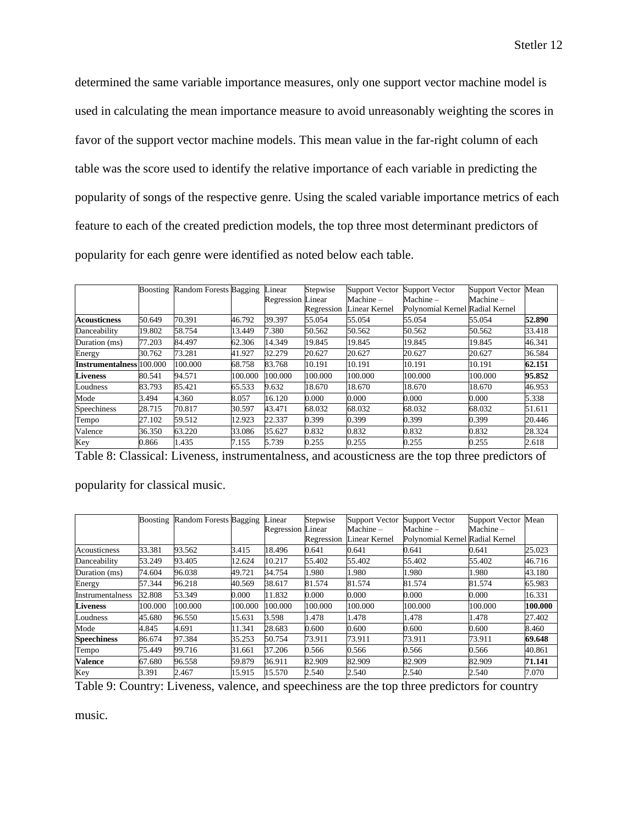determined the same variable importance measures, only one support vector machine model is used in calculating the mean importance measure to avoid unreasonably weighting the scores in favor of the support vector machine models. This mean value in the far-right column of each table was the score used to identify the relative importance of each variable in predicting the popularity of songs of the respective genre. Using the scaled variable importance metrics of each feature to each of the created prediction models, the top three most determinant predictors of popularity for each genre were identified as noted below each table.

|                                 |        | Boosting Random Forests Bagging |         | Linear                   | Stepwise   | <b>Support Vector</b> | Support Vector                  | Support Vector | Mean   |
|---------------------------------|--------|---------------------------------|---------|--------------------------|------------|-----------------------|---------------------------------|----------------|--------|
|                                 |        |                                 |         | <b>Regression</b> Linear |            | Machine-              | Machine-                        | Machine-       |        |
|                                 |        |                                 |         |                          | Regression | Linear Kernel         | Polynomial Kernel Radial Kernel |                |        |
| <b>Acousticness</b>             | 50.649 | 70.391                          | 46.792  | 39.397                   | 55.054     | 55.054                | 55.054                          | 55.054         | 52.890 |
| Danceability                    | 19.802 | 58.754                          | 13.449  | 7.380                    | 50.562     | 50.562                | 50.562                          | 50.562         | 33.418 |
| Duration (ms)                   | 77.203 | 84.497                          | 62.306  | 14.349                   | 19.845     | 19.845                | 19.845                          | 19.845         | 46.341 |
| Energy                          | 30.762 | 73.281                          | 41.927  | 32.279                   | 20.627     | 20.627                | 20.627                          | 20.627         | 36.584 |
| <b>Instrumentalness</b> 100,000 |        | 100.000                         | 68.758  | 83.768                   | 10.191     | 10.191                | 10.191                          | 10.191         | 62.151 |
| <b>Liveness</b>                 | 80.541 | 94.571                          | 100.000 | 100.000                  | 100.000    | 100.000               | 100.000                         | 100.000        | 95.852 |
| Loudness                        | 83.793 | 85.421                          | 65.533  | 9.632                    | 18.670     | 18.670                | 18.670                          | 18.670         | 46.953 |
| Mode                            | 3.494  | 4.360                           | 8.057   | 16.120                   | 0.000      | 0.000                 | 0.000                           | 0.000          | 5.338  |
| Speechiness                     | 28.715 | 70.817                          | 30.597  | 43.471                   | 68.032     | 68.032                | 68.032                          | 68.032         | 51.611 |
| Tempo                           | 27.102 | 59.512                          | 12.923  | 22.337                   | 0.399      | 0.399                 | 0.399                           | 0.399          | 20.446 |
| Valence                         | 36.350 | 63.220                          | 33.086  | 35.627                   | 0.832      | 0.832                 | 0.832                           | 0.832          | 28.324 |
| Key                             | 0.866  | 1.435                           | 7.155   | 5.739                    | 0.255      | 0.255                 | 0.255                           | 0.255          | 2.618  |

Table 8: Classical: Liveness, instrumentalness, and acousticness are the top three predictors of

popularity for classical music.

|                    | Boosting | Random Forests Bagging |         | Linear                   | Stepwise   | <b>Support Vector</b> | <b>Support Vector</b>           | Support Vector | Mean    |
|--------------------|----------|------------------------|---------|--------------------------|------------|-----------------------|---------------------------------|----------------|---------|
|                    |          |                        |         | <b>Regression Linear</b> |            | Machine –             | $Machine -$                     | Machine-       |         |
|                    |          |                        |         |                          | Regression | Linear Kernel         | Polynomial Kernel Radial Kernel |                |         |
| Acousticness       | 33.381   | 93.562                 | 3.415   | 18.496                   | 0.641      | 0.641                 | 0.641                           | 0.641          | 25.023  |
| Danceability       | 53.249   | 93.405                 | 12.624  | 10.217                   | 55.402     | 55.402                | 55.402                          | 55.402         | 46.716  |
| Duration (ms)      | 74.604   | 96.038                 | 49.721  | 34.754                   | 1.980      | .980                  | 1.980                           | 1.980          | 43.180  |
| Energy             | 57.344   | 96.218                 | 40.569  | 38.617                   | 81.574     | 81.574                | 81.574                          | 81.574         | 65.983  |
| Instrumentalness   | 32.808   | 53.349                 | 0.000   | 11.832                   | 0.000      | 0.000                 | 0.000                           | 0.000          | 16.331  |
| <b>Liveness</b>    | 100.000  | 100.000                | 100.000 | 100.000                  | 100.000    | 100.000               | 100.000                         | 100.000        | 100.000 |
| Loudness           | 45.680   | 96.550                 | 15.631  | 3.598                    | 1.478      | .478                  | 1.478                           | 1.478          | 27.402  |
| Mode               | 4.845    | 4.691                  | 11.341  | 28.683                   | 0.600      | 0.600                 | 0.600                           | 0.600          | 8.460   |
| <b>Speechiness</b> | 86.674   | 97.384                 | 35.253  | 50.754                   | 73.911     | 73.911                | 73.911                          | 73.911         | 69.648  |
| Tempo              | 75.449   | 99.716                 | 31.661  | 37.206                   | 0.566      | 0.566                 | 0.566                           | 0.566          | 40.861  |
| <b>Valence</b>     | 67.680   | 96.558                 | 59.879  | 36.911                   | 82.909     | 82.909                | 82.909                          | 82.909         | 71.141  |
| Key                | 3.391    | 2.467                  | 15.915  | 15.570                   | 2.540      | 2.540                 | 2.540                           | 2.540          | 7.070   |

Table 9: Country: Liveness, valence, and speechiness are the top three predictors for country

music.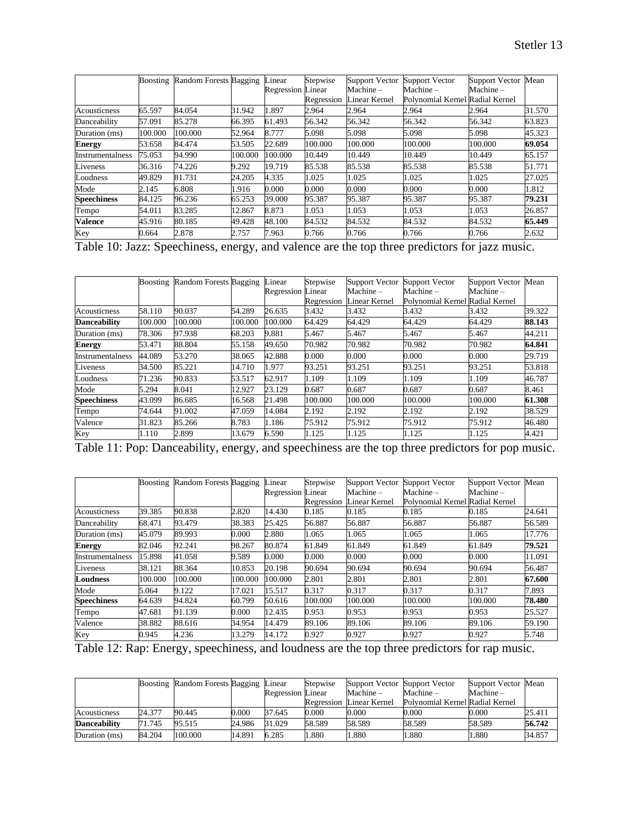|                    | Boosting | Random Forests Bagging |         | Linear                   | Stepwise   | <b>Support Vector</b> | <b>Support Vector</b>           | <b>Support Vector</b> | Mean   |
|--------------------|----------|------------------------|---------|--------------------------|------------|-----------------------|---------------------------------|-----------------------|--------|
|                    |          |                        |         | <b>Regression Linear</b> |            | Machine –             | Machine –                       | Machine –             |        |
|                    |          |                        |         |                          | Regression | Linear Kernel         | Polynomial Kernel Radial Kernel |                       |        |
| Acousticness       | 65.597   | 84.054                 | 31.942  | 1.897                    | 2.964      | 2.964                 | 2.964                           | 2.964                 | 31.570 |
| Danceability       | 57.091   | 85.278                 | 66.395  | 61.493                   | 56.342     | 56.342                | 56.342                          | 56.342                | 63.823 |
| Duration (ms)      | 100.000  | 100.000                | 52.964  | 8.777                    | 5.098      | 5.098                 | 5.098                           | 5.098                 | 45.323 |
| <b>Energy</b>      | 53.658   | 84.474                 | 53.505  | 22.689                   | 100.000    | 100.000               | 100.000                         | 100.000               | 69.054 |
| Instrumentalness   | 75.053   | 94.990                 | 100.000 | 100.000                  | 10.449     | 10.449                | 10.449                          | 10.449                | 65.157 |
| Liveness           | 36.316   | 74.226                 | 9.292   | 19.719                   | 85.538     | 85.538                | 85.538                          | 85.538                | 51.771 |
| Loudness           | 49.829   | 81.731                 | 24.205  | 4.335                    | 1.025      | 1.025                 | 1.025                           | 1.025                 | 27.025 |
| Mode               | 2.145    | 6.808                  | 1.916   | 0.000                    | 0.000      | 0.000                 | 0.000                           | 0.000                 | 1.812  |
| <b>Speechiness</b> | 84.125   | 96.236                 | 65.253  | 39.000                   | 95.387     | 95.387                | 95.387                          | 95.387                | 79.231 |
| Tempo              | 54.011   | 83.285                 | 12.867  | 8.873                    | 1.053      | 1.053                 | 1.053                           | 1.053                 | 26.857 |
| <b>Valence</b>     | 45.916   | 80.185                 | 49.428  | 48.100                   | 84.532     | 84.532                | 84.532                          | 84.532                | 65.449 |
| Key                | 0.664    | 2.878                  | 2.757   | 7.963                    | 0.766      | 0.766                 | 0.766                           | 0.766                 | 2.632  |

Table 10: Jazz: Speechiness, energy, and valence are the top three predictors for jazz music.

|                     | Boosting | Random Forests Bagging |         | Linear                   | Stepwise   | <b>Support Vector</b> | Support Vector                  | Support Vector | Mean   |
|---------------------|----------|------------------------|---------|--------------------------|------------|-----------------------|---------------------------------|----------------|--------|
|                     |          |                        |         | <b>Regression Linear</b> |            | Machine –             | $Machine -$                     | Machine-       |        |
|                     |          |                        |         |                          | Regression | Linear Kernel         | Polynomial Kernel Radial Kernel |                |        |
| Acousticness        | 58.110   | 90.037                 | 54.289  | 26.635                   | 3.432      | 3.432                 | 3.432                           | 3.432          | 39.322 |
| <b>Danceability</b> | 100.000  | 100.000                | 100.000 | 100.000                  | 64.429     | 64.429                | 64.429                          | 64.429         | 88.143 |
| Duration (ms)       | 78.306   | 97.938                 | 68.203  | 9.881                    | 5.467      | 5.467                 | 5.467                           | 5.467          | 44.211 |
| <b>Energy</b>       | 53.471   | 88.804                 | 55.158  | 49.650                   | 70.982     | 70.982                | 70.982                          | 70.982         | 64.841 |
| Instrumentalness    | 44.089   | 53.270                 | 38.065  | 42.888                   | 0.000      | 0.000                 | 0.000                           | 0.000          | 29.719 |
| Liveness            | 34.500   | 85.221                 | 14.710  | 1.977                    | 93.251     | 93.251                | 93.251                          | 93.251         | 53.818 |
| Loudness            | 71.236   | 90.833                 | 53.517  | 62.917                   | 1.109      | 1.109                 | 1.109                           | 1.109          | 46.787 |
| Mode                | 5.294    | 8.041                  | 12.927  | 23.129                   | 0.687      | 0.687                 | 0.687                           | 0.687          | 8.461  |
| <b>Speechiness</b>  | 43.099   | 86.685                 | 16.568  | 21.498                   | 100.000    | 100.000               | 100.000                         | 100.000        | 61.308 |
| Tempo               | 74.644   | 91.002                 | 47.059  | 14.084                   | 2.192      | 2.192                 | 2.192                           | 2.192          | 38.529 |
| Valence             | 31.823   | 85.266                 | 8.783   | 1.186                    | 75.912     | 75.912                | 75.912                          | 75.912         | 46.480 |
| Key                 | 1.110    | 2.899                  | 13.679  | 6.590                    | 1.125      | 1.125                 | 1.125                           | 1.125          | 4.421  |

Table 11: Pop: Danceability, energy, and speechiness are the top three predictors for pop music.

|                    | Boosting | Random Forests Bagging |         | Linear                   | Stepwise   | Support Vector | Support Vector                  | Support Vector Mean |        |
|--------------------|----------|------------------------|---------|--------------------------|------------|----------------|---------------------------------|---------------------|--------|
|                    |          |                        |         | <b>Regression Linear</b> |            | $Machine -$    | Machine –                       | $Machine -$         |        |
|                    |          |                        |         |                          | Regression | Linear Kernel  | Polynomial Kernel Radial Kernel |                     |        |
| Acousticness       | 39.385   | 90.838                 | 2.820   | 14.430                   | 0.185      | 0.185          | 0.185                           | 0.185               | 24.641 |
| Danceability       | 68.471   | 93.479                 | 38.383  | 25.425                   | 56.887     | 56.887         | 56.887                          | 56.887              | 56.589 |
| Duration (ms)      | 45.079   | 89.993                 | 0.000   | 2.880                    | 1.065      | 1.065          | 1.065                           | 1.065               | 17.776 |
| <b>Energy</b>      | 82.046   | 92.241                 | 98.267  | 80.874                   | 61.849     | 61.849         | 61.849                          | 61.849              | 79.521 |
| Instrumentalness   | 15.898   | 41.058                 | 9.589   | 0.000                    | 0.000      | 0.000          | 0.000                           | 0.000               | 11.091 |
| Liveness           | 38.121   | 88.364                 | 10.853  | 20.198                   | 90.694     | 90.694         | 90.694                          | 90.694              | 56.487 |
| <b>Loudness</b>    | 100.000  | 100.000                | 100.000 | 100.000                  | 2.801      | 2.801          | 2.801                           | 2.801               | 67.600 |
| Mode               | 5.064    | 9.122                  | 17.021  | 15.517                   | 0.317      | 0.317          | 0.317                           | 0.317               | 7.893  |
| <b>Speechiness</b> | 64.639   | 94.824                 | 60.799  | 50.616                   | 100.000    | 100.000        | 100.000                         | 100.000             | 78.480 |
| Tempo              | 47.681   | 91.139                 | 0.000   | 12.435                   | 0.953      | 0.953          | 0.953                           | 0.953               | 25.527 |
| Valence            | 38.882   | 88.616                 | 34.954  | 14.479                   | 89.106     | 89.106         | 89.106                          | 89.106              | 59.190 |
| Key                | 0.945    | 4.236                  | 13.279  | 14.172                   | 0.927      | 0.927          | 0.927                           | 0.927               | 5.748  |

Table 12: Rap: Energy, speechiness, and loudness are the top three predictors for rap music.

|                     |        | Boosting Random Forests Bagging Linear |        | <b>Regression Linear</b> | Stepwise   | Support Vector Support Vector<br>$Machine -$ | Machine –                       | Support Vector Mean<br>$Machine -$ |        |
|---------------------|--------|----------------------------------------|--------|--------------------------|------------|----------------------------------------------|---------------------------------|------------------------------------|--------|
|                     |        |                                        |        |                          | Regression | Linear Kernel                                | Polynomial Kernel Radial Kernel |                                    |        |
| Acousticness        | 24.377 | 90.445                                 | 000(y) | 37.645                   | 0.000      | 0.000                                        | 0.000                           | 0.000                              | 25.411 |
| <b>Danceability</b> | 71.745 | 95.515                                 | 24.986 | 31.029                   | 58.589     | 58.589                                       | 58.589                          | 58.589                             | 56.742 |
| Duration (ms)       | 84.204 | 100,000                                | 14.891 | 6.285                    | .880       | 1.880                                        | 1.880                           | 1.880                              | 34.857 |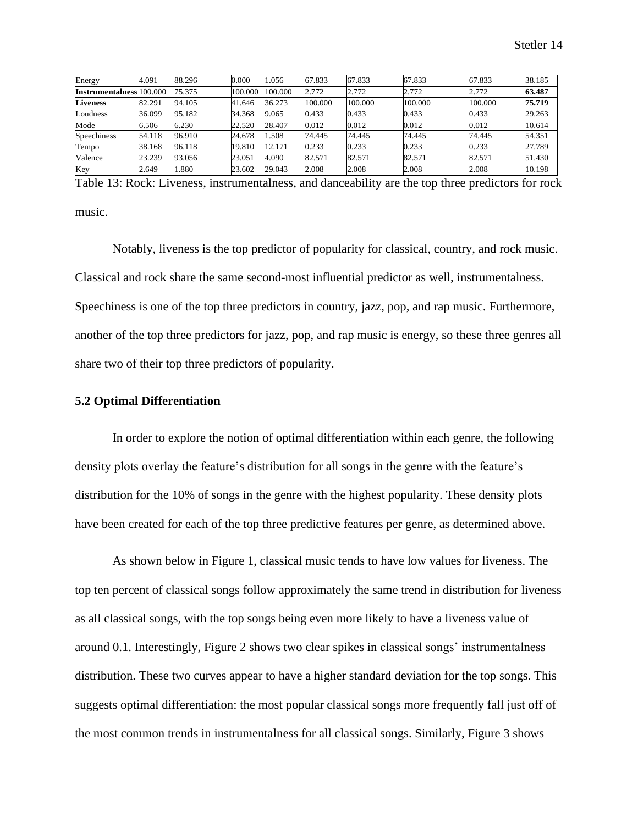| Energy                          | 4.091  | 88.296 | 0.000   | 1.056   | 67.833  | 67.833  | 67.833  | 67.833  | 38.185 |
|---------------------------------|--------|--------|---------|---------|---------|---------|---------|---------|--------|
| <b>Instrumentalness</b> 100,000 |        | 75.375 | 100.000 | 100.000 | 2.772   | 2.772   | 2.772   | 2.772   | 63.487 |
| <b>Liveness</b>                 | 82.291 | 94.105 | 41.646  | 36.273  | 100.000 | 100.000 | 100.000 | 100,000 | 75.719 |
| Loudness                        | 36.099 | 95.182 | 34.368  | 9.065   | 0.433   | 0.433   | 0.433   | 0.433   | 29.263 |
| Mode                            | 6.506  | 6.230  | 22.520  | 28.407  | 0.012   | 0.012   | 0.012   | 0.012   | 10.614 |
| Speechiness                     | 54.118 | 96.910 | 24.678  | .508    | 74.445  | 74.445  | 74.445  | 74.445  | 54.351 |
| Tempo                           | 38.168 | 96.118 | 19.810  | 12.171  | 0.233   | 0.233   | 0.233   | 0.233   | 27.789 |
| Valence                         | 23.239 | 93.056 | 23.051  | 4.090   | 82.571  | 82.571  | 82.571  | 82.571  | 51.430 |
| Key                             | 2.649  | 1.880  | 23.602  | 29.043  | 2.008   | 2.008   | 2.008   | 2.008   | 10.198 |

Table 13: Rock: Liveness, instrumentalness, and danceability are the top three predictors for rock music.

Notably, liveness is the top predictor of popularity for classical, country, and rock music. Classical and rock share the same second-most influential predictor as well, instrumentalness. Speechiness is one of the top three predictors in country, jazz, pop, and rap music. Furthermore, another of the top three predictors for jazz, pop, and rap music is energy, so these three genres all share two of their top three predictors of popularity.

## **5.2 Optimal Differentiation**

In order to explore the notion of optimal differentiation within each genre, the following density plots overlay the feature's distribution for all songs in the genre with the feature's distribution for the 10% of songs in the genre with the highest popularity. These density plots have been created for each of the top three predictive features per genre, as determined above.

As shown below in Figure 1, classical music tends to have low values for liveness. The top ten percent of classical songs follow approximately the same trend in distribution for liveness as all classical songs, with the top songs being even more likely to have a liveness value of around 0.1. Interestingly, Figure 2 shows two clear spikes in classical songs' instrumentalness distribution. These two curves appear to have a higher standard deviation for the top songs. This suggests optimal differentiation: the most popular classical songs more frequently fall just off of the most common trends in instrumentalness for all classical songs. Similarly, Figure 3 shows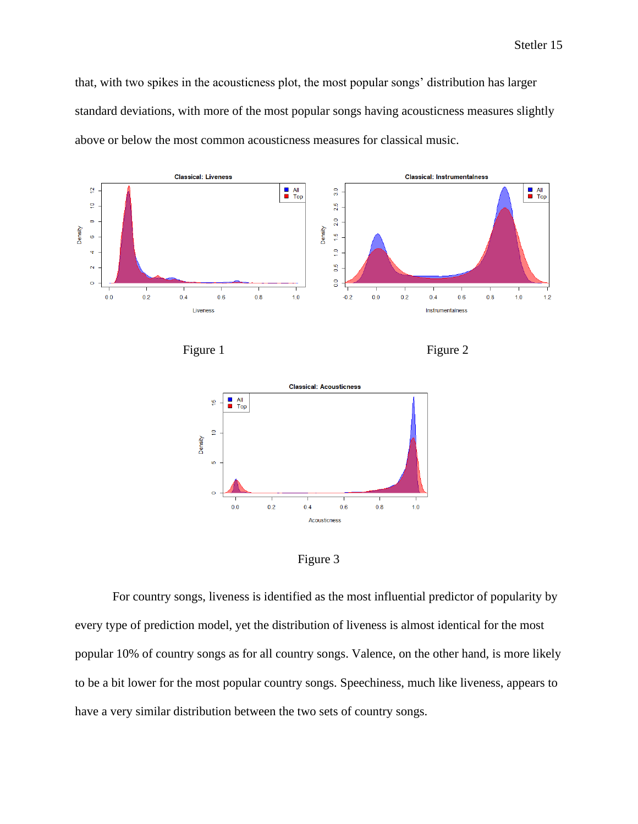that, with two spikes in the acousticness plot, the most popular songs' distribution has larger standard deviations, with more of the most popular songs having acousticness measures slightly above or below the most common acousticness measures for classical music.









For country songs, liveness is identified as the most influential predictor of popularity by every type of prediction model, yet the distribution of liveness is almost identical for the most popular 10% of country songs as for all country songs. Valence, on the other hand, is more likely to be a bit lower for the most popular country songs. Speechiness, much like liveness, appears to have a very similar distribution between the two sets of country songs.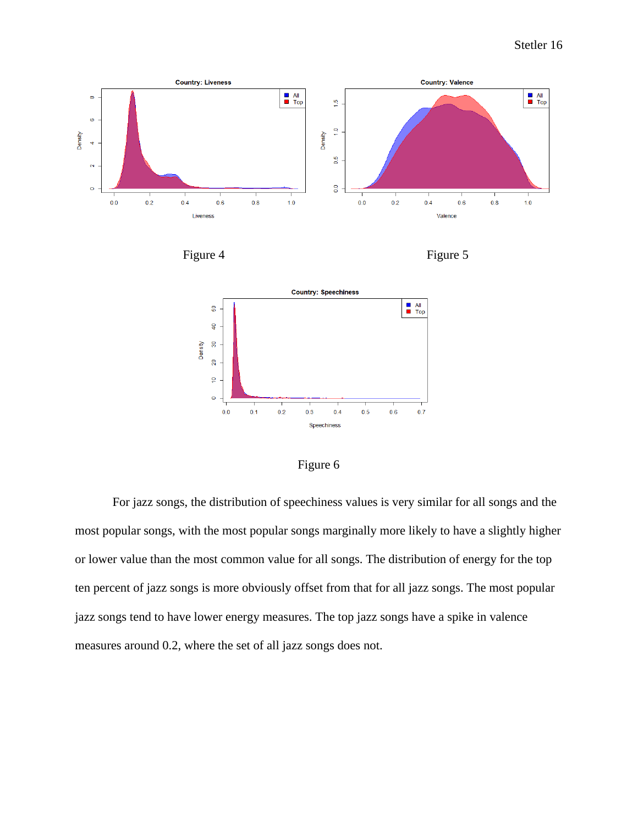





Figure 6

For jazz songs, the distribution of speechiness values is very similar for all songs and the most popular songs, with the most popular songs marginally more likely to have a slightly higher or lower value than the most common value for all songs. The distribution of energy for the top ten percent of jazz songs is more obviously offset from that for all jazz songs. The most popular jazz songs tend to have lower energy measures. The top jazz songs have a spike in valence measures around 0.2, where the set of all jazz songs does not.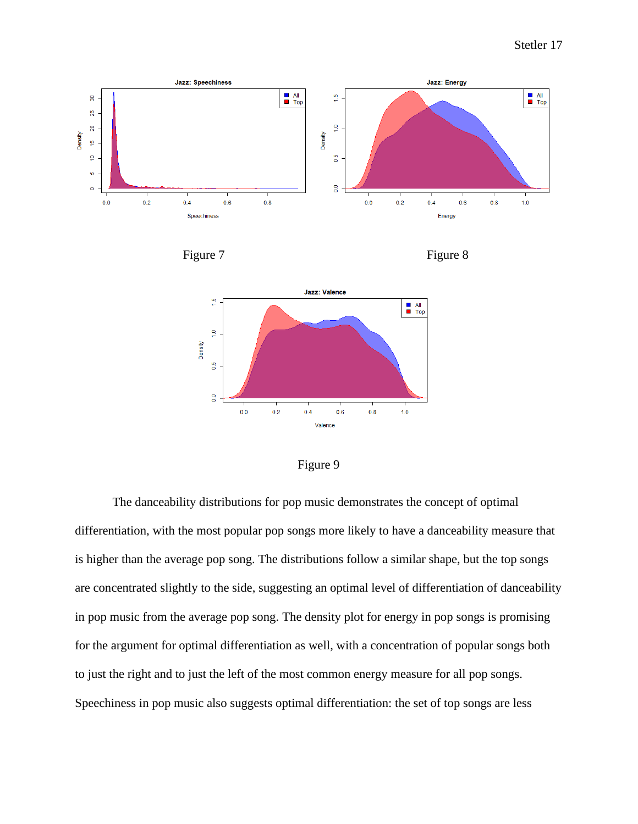









The danceability distributions for pop music demonstrates the concept of optimal differentiation, with the most popular pop songs more likely to have a danceability measure that is higher than the average pop song. The distributions follow a similar shape, but the top songs are concentrated slightly to the side, suggesting an optimal level of differentiation of danceability in pop music from the average pop song. The density plot for energy in pop songs is promising for the argument for optimal differentiation as well, with a concentration of popular songs both to just the right and to just the left of the most common energy measure for all pop songs. Speechiness in pop music also suggests optimal differentiation: the set of top songs are less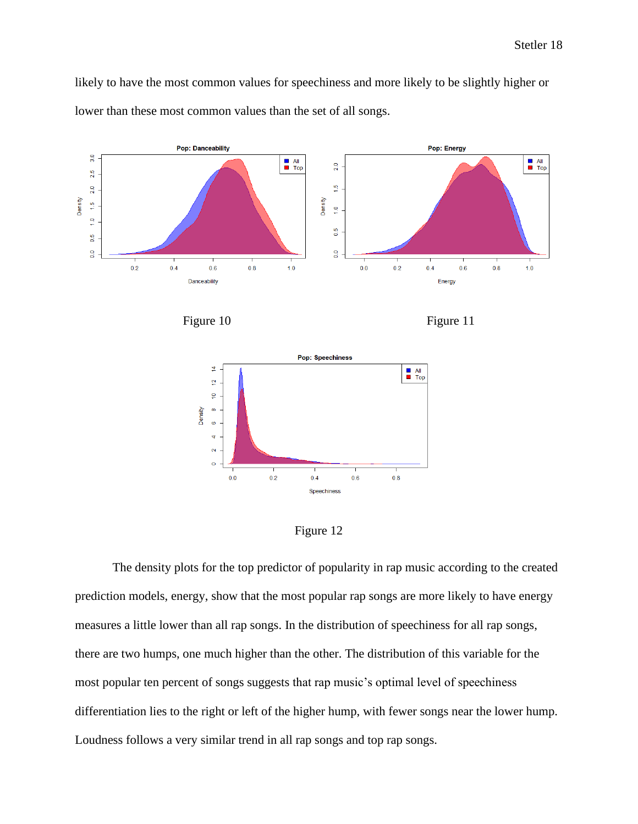likely to have the most common values for speechiness and more likely to be slightly higher or lower than these most common values than the set of all songs.











The density plots for the top predictor of popularity in rap music according to the created prediction models, energy, show that the most popular rap songs are more likely to have energy measures a little lower than all rap songs. In the distribution of speechiness for all rap songs, there are two humps, one much higher than the other. The distribution of this variable for the most popular ten percent of songs suggests that rap music's optimal level of speechiness differentiation lies to the right or left of the higher hump, with fewer songs near the lower hump. Loudness follows a very similar trend in all rap songs and top rap songs.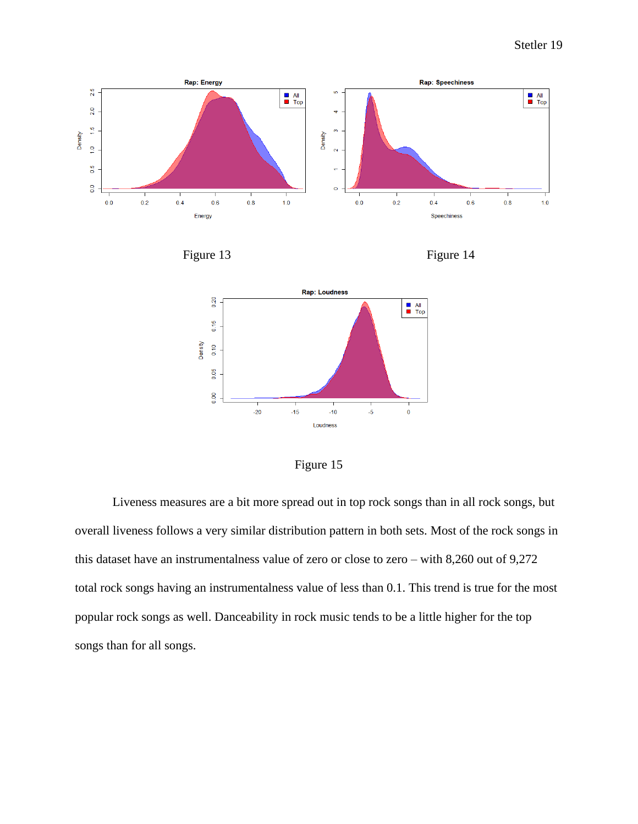







Figure 15

Liveness measures are a bit more spread out in top rock songs than in all rock songs, but overall liveness follows a very similar distribution pattern in both sets. Most of the rock songs in this dataset have an instrumentalness value of zero or close to zero – with 8,260 out of 9,272 total rock songs having an instrumentalness value of less than 0.1. This trend is true for the most popular rock songs as well. Danceability in rock music tends to be a little higher for the top songs than for all songs.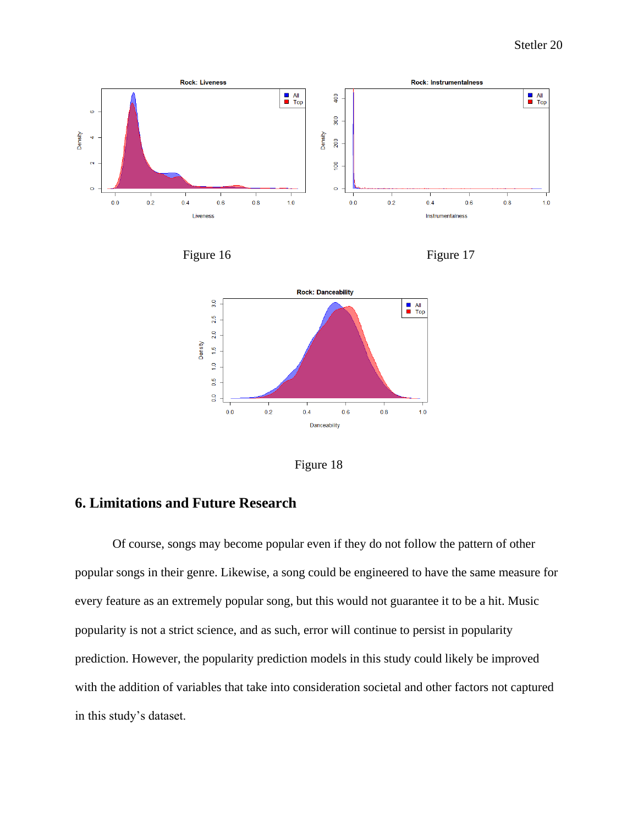





Figure 18

# **6. Limitations and Future Research**

Of course, songs may become popular even if they do not follow the pattern of other popular songs in their genre. Likewise, a song could be engineered to have the same measure for every feature as an extremely popular song, but this would not guarantee it to be a hit. Music popularity is not a strict science, and as such, error will continue to persist in popularity prediction. However, the popularity prediction models in this study could likely be improved with the addition of variables that take into consideration societal and other factors not captured in this study's dataset.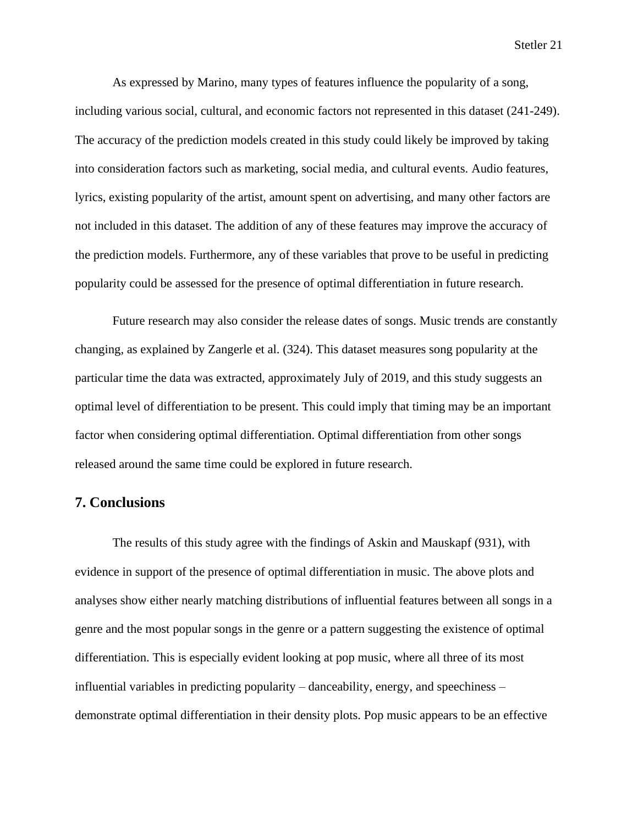As expressed by Marino, many types of features influence the popularity of a song, including various social, cultural, and economic factors not represented in this dataset (241-249). The accuracy of the prediction models created in this study could likely be improved by taking into consideration factors such as marketing, social media, and cultural events. Audio features, lyrics, existing popularity of the artist, amount spent on advertising, and many other factors are not included in this dataset. The addition of any of these features may improve the accuracy of the prediction models. Furthermore, any of these variables that prove to be useful in predicting popularity could be assessed for the presence of optimal differentiation in future research.

Future research may also consider the release dates of songs. Music trends are constantly changing, as explained by Zangerle et al. (324). This dataset measures song popularity at the particular time the data was extracted, approximately July of 2019, and this study suggests an optimal level of differentiation to be present. This could imply that timing may be an important factor when considering optimal differentiation. Optimal differentiation from other songs released around the same time could be explored in future research.

# **7. Conclusions**

The results of this study agree with the findings of Askin and Mauskapf (931), with evidence in support of the presence of optimal differentiation in music. The above plots and analyses show either nearly matching distributions of influential features between all songs in a genre and the most popular songs in the genre or a pattern suggesting the existence of optimal differentiation. This is especially evident looking at pop music, where all three of its most influential variables in predicting popularity – danceability, energy, and speechiness – demonstrate optimal differentiation in their density plots. Pop music appears to be an effective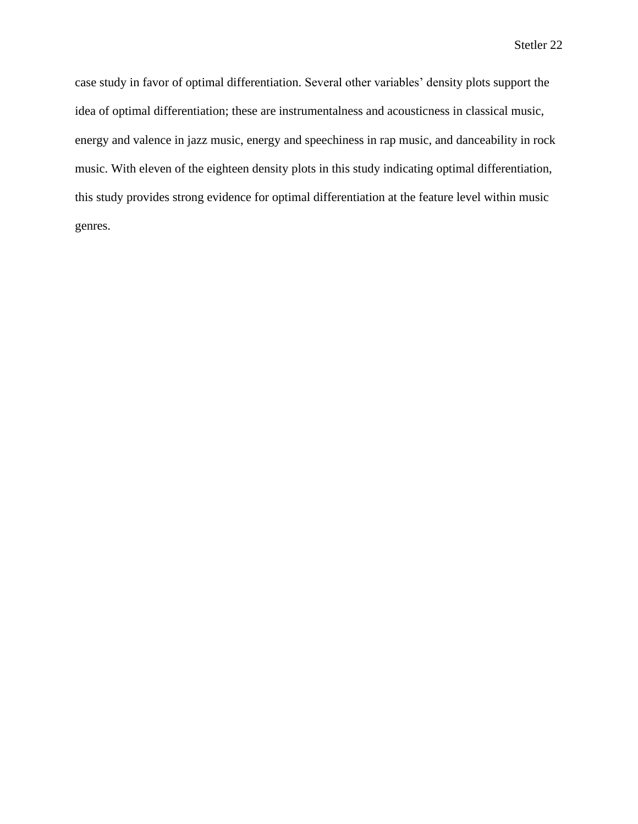case study in favor of optimal differentiation. Several other variables' density plots support the idea of optimal differentiation; these are instrumentalness and acousticness in classical music, energy and valence in jazz music, energy and speechiness in rap music, and danceability in rock music. With eleven of the eighteen density plots in this study indicating optimal differentiation, this study provides strong evidence for optimal differentiation at the feature level within music genres.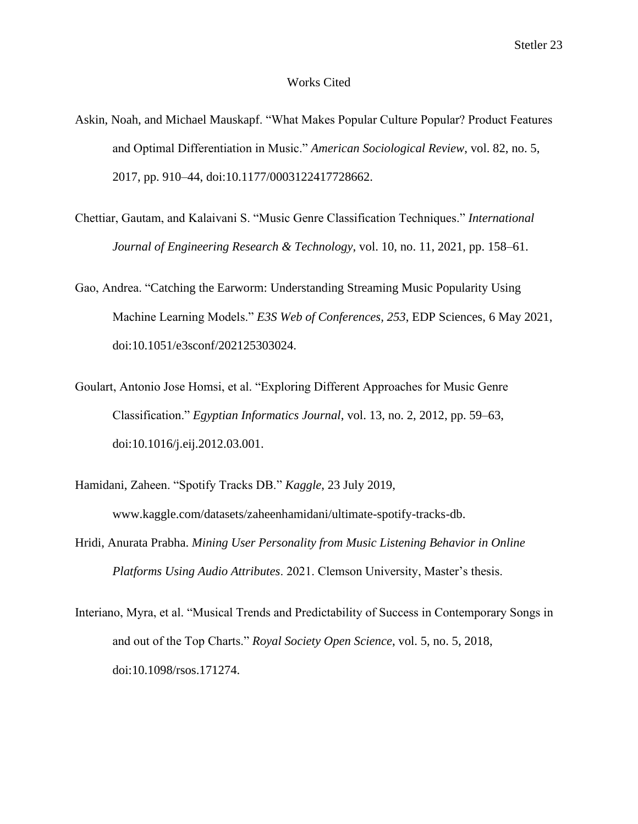#### Works Cited

- Askin, Noah, and Michael Mauskapf. "What Makes Popular Culture Popular? Product Features and Optimal Differentiation in Music." *American Sociological Review*, vol. 82, no. 5, 2017, pp. 910–44, doi:10.1177/0003122417728662.
- Chettiar, Gautam, and Kalaivani S. "Music Genre Classification Techniques." *International Journal of Engineering Research & Technology*, vol. 10, no. 11, 2021, pp. 158–61.
- Gao, Andrea. "Catching the Earworm: Understanding Streaming Music Popularity Using Machine Learning Models." *E3S Web of Conferences, 253*, EDP Sciences, 6 May 2021, doi:10.1051/e3sconf/202125303024.
- Goulart, Antonio Jose Homsi, et al. "Exploring Different Approaches for Music Genre Classification." *Egyptian Informatics Journal*, vol. 13, no. 2, 2012, pp. 59–63, doi:10.1016/j.eij.2012.03.001.
- Hamidani, Zaheen. "Spotify Tracks DB." *Kaggle*, 23 July 2019, www.kaggle.com/datasets/zaheenhamidani/ultimate-spotify-tracks-db.
- Hridi, Anurata Prabha. *Mining User Personality from Music Listening Behavior in Online Platforms Using Audio Attributes*. 2021. Clemson University, Master's thesis.
- Interiano, Myra, et al. "Musical Trends and Predictability of Success in Contemporary Songs in and out of the Top Charts." *Royal Society Open Science*, vol. 5, no. 5, 2018, doi:10.1098/rsos.171274.